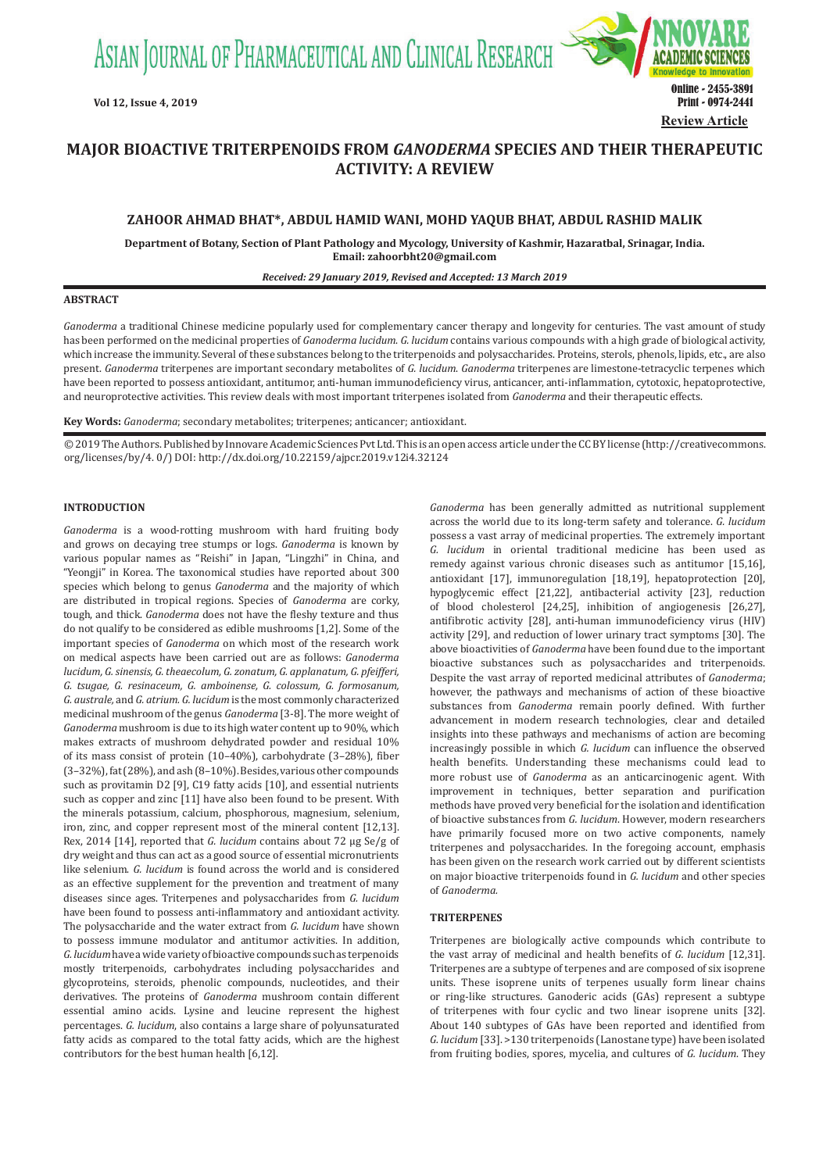ASIAN JOURNAL OF PHARMACEUTICAL AND CLINICAL RESEARCH



# **MAJOR BIOACTIVE TRITERPENOIDS FROM** *GANODERMA* **SPECIES AND THEIR THERAPEUTIC ACTIVITY: A REVIEW**

## **ZAHOOR AHMAD BHAT\*, ABDUL HAMID WANI, MOHD YAQUB BHAT, ABDUL RASHID MALIK**

**Department of Botany, Section of Plant Pathology and Mycology, University of Kashmir, Hazaratbal, Srinagar, India. Email: zahoorbht20@gmail.com**

#### *Received: 29 January 2019, Revised and Accepted: 13 March 2019*

#### **ABSTRACT**

*Ganoderma* a traditional Chinese medicine popularly used for complementary cancer therapy and longevity for centuries. The vast amount of study has been performed on the medicinal properties of *Ganoderma lucidum*. *G. lucidum* contains various compounds with a high grade of biological activity, which increase the immunity. Several of these substances belong to the triterpenoids and polysaccharides. Proteins, sterols, phenols, lipids, etc., are also present. *Ganoderma* triterpenes are important secondary metabolites of *G. lucidum*. *Ganoderma* triterpenes are limestone-tetracyclic terpenes which have been reported to possess antioxidant, antitumor, anti-human immunodeficiency virus, anticancer, anti-inflammation, cytotoxic, hepatoprotective, and neuroprotective activities. This review deals with most important triterpenes isolated from *Ganoderma* and their therapeutic effects.

**Key Words:** *Ganoderma*; secondary metabolites; triterpenes; anticancer; antioxidant.

© 2019 The Authors. Published by Innovare Academic Sciences Pvt Ltd. This is an open access article under the CC BY license (http://creativecommons. org/licenses/by/4. 0/) DOI: http://dx.doi.org/10.22159/ajpcr.2019.v12i4.32124

#### **INTRODUCTION**

*Ganoderma* is a wood-rotting mushroom with hard fruiting body and grows on decaying tree stumps or logs. *Ganoderma* is known by various popular names as "Reishi" in Japan, "Lingzhi" in China, and "Yeongji" in Korea. The taxonomical studies have reported about 300 species which belong to genus *Ganoderma* and the majority of which are distributed in tropical regions. Species of *Ganoderma* are corky, tough, and thick. *Ganoderma* does not have the fleshy texture and thus do not qualify to be considered as edible mushrooms [1,2]. Some of the important species of *Ganoderma* on which most of the research work on medical aspects have been carried out are as follows: *Ganoderma lucidum, G. sinensis, G. theaecolum, G. zonatum, G. applanatum, G. pfeifferi, G. tsugae, G. resinaceum, G. amboinense, G. colossum, G. formosanum, G. australe,* and *G. atrium. G. lucidum* is the most commonly characterized medicinal mushroom of the genus *Ganoderma* [3-8]. The more weight of *Ganoderma* mushroom is due to its high water content up to 90%, which makes extracts of mushroom dehydrated powder and residual 10% of its mass consist of protein (10–40%), carbohydrate (3–28%), fiber (3–32%), fat (28%), and ash (8–10%). Besides, various other compounds such as provitamin D2 [9], C19 fatty acids [10], and essential nutrients such as copper and zinc [11] have also been found to be present. With the minerals potassium, calcium, phosphorous, magnesium, selenium, iron, zinc, and copper represent most of the mineral content [12,13]. Rex, 2014 [14], reported that *G. lucidum* contains about 72 μg Se/g of dry weight and thus can act as a good source of essential micronutrients like selenium. *G. lucidum* is found across the world and is considered as an effective supplement for the prevention and treatment of many diseases since ages. Triterpenes and polysaccharides from *G. lucidum* have been found to possess anti-inflammatory and antioxidant activity. The polysaccharide and the water extract from *G. lucidum* have shown to possess immune modulator and antitumor activities. In addition, *G. lucidum* have a wide variety of bioactive compounds such as terpenoids mostly triterpenoids, carbohydrates including polysaccharides and glycoproteins, steroids, phenolic compounds, nucleotides, and their derivatives. The proteins of *Ganoderma* mushroom contain different essential amino acids. Lysine and leucine represent the highest percentages. *G. lucidum*, also contains a large share of polyunsaturated fatty acids as compared to the total fatty acids, which are the highest contributors for the best human health [6,12].

*Ganoderma* has been generally admitted as nutritional supplement across the world due to its long-term safety and tolerance. *G. lucidum* possess a vast array of medicinal properties. The extremely important *G. lucidum* in oriental traditional medicine has been used as remedy against various chronic diseases such as antitumor [15,16], antioxidant [17], immunoregulation [18,19], hepatoprotection [20], hypoglycemic effect [21,22], antibacterial activity [23], reduction of blood cholesterol [24,25], inhibition of angiogenesis [26,27], antifibrotic activity [28], anti-human immunodeficiency virus (HIV) activity [29], and reduction of lower urinary tract symptoms [30]. The above bioactivities of *Ganoderma* have been found due to the important bioactive substances such as polysaccharides and triterpenoids. Despite the vast array of reported medicinal attributes of *Ganoderma*; however, the pathways and mechanisms of action of these bioactive substances from *Ganoderma* remain poorly defined. With further advancement in modern research technologies, clear and detailed insights into these pathways and mechanisms of action are becoming increasingly possible in which *G. lucidum* can influence the observed health benefits. Understanding these mechanisms could lead to more robust use of *Ganoderma* as an anticarcinogenic agent. With improvement in techniques, better separation and purification methods have proved very beneficial for the isolation and identification of bioactive substances from *G. lucidum*. However, modern researchers have primarily focused more on two active components, namely triterpenes and polysaccharides. In the foregoing account, emphasis has been given on the research work carried out by different scientists on major bioactive triterpenoids found in *G. lucidum* and other species of *Ganoderma.*

#### **TRITERPENES**

Triterpenes are biologically active compounds which contribute to the vast array of medicinal and health benefits of *G. lucidum* [12,31]. Triterpenes are a subtype of terpenes and are composed of six isoprene units. These isoprene units of terpenes usually form linear chains or ring-like structures. Ganoderic acids (GAs) represent a subtype of triterpenes with four cyclic and two linear isoprene units [32]. About 140 subtypes of GAs have been reported and identified from *G. lucidum* [33]. >130 triterpenoids (Lanostane type) have been isolated from fruiting bodies, spores, mycelia, and cultures of *G. lucidum*. They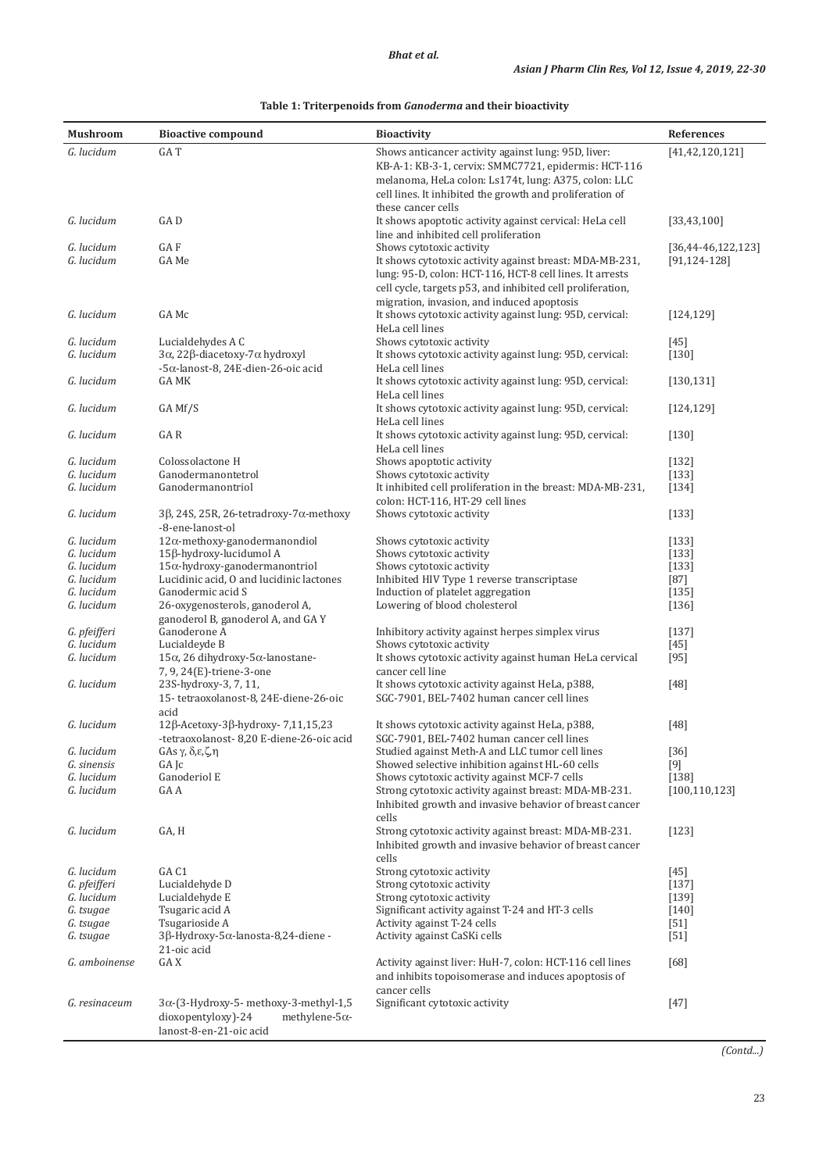#### **Mushroom Bioactive compound Bioactivity Bioactivity References** *G. lucidum* GA T Shows anticancer activity against lung: 95D, liver: KB-A-1: KB-3-1, cervix: SMMC7721, epidermis: HCT-116 melanoma, HeLa colon: Ls174t, lung: A375, colon: LLC cell lines. It inhibited the growth and proliferation of these cancer cells [41,42,120,121] *G. lucidum* **GA D GA D It shows apoptotic activity against cervical: HeLa cell** line and inhibited cell proliferation [33,43,100] *G. lucidum* GA F Shows cytotoxic activity [36,44-46,122,123] It shows cytotoxic activity against breast: MDA-MB-231, lung: 95-D, colon: HCT-116, HCT-8 cell lines. It arrests cell cycle, targets p53, and inhibited cell proliferation, migration, invasion, and induced apoptosis [91,124-128] *G. lucidum* GA Mc It shows cytotoxic activity against lung: 95D, cervical: HeLa cell lines [124,129] *G. lucidum* Lucialdehydes A C and Shows cytotoxic activity against lung: 95D. cervical:  $\frac{145}{G}$ <br>*G. lucidum*  $\frac{3\alpha}{228}$ -diacetoxy-7 $\alpha$  hydroxyl and Shows cytotoxic activity against lung: 95D. cervical: 130 *G. lucidum* 3α, 22β-diacetoxy-7α hydroxyl -5α-lanost-8, 24E-dien-26-oic acid It shows cytotoxic activity against lung: 95D, cervical: HeLa cell lines [130] *G. lucidum* **GA MK GA MK It shows cytotoxic activity against lung: 95D, cervical:** HeLa cell lines [130,131] *G. lucidum* GA Mf/S It shows cytotoxic activity against lung: 95D, cervical: HeLa cell lines [124,129] *G. lucidum* GA R GA R **It shows cytotoxic activity against lung: 95D, cervical:** HeLa cell lines [130] *G. lucidum* Colossolactone H Shows apoptotic activity [132]<br> *G. lucidum* Ganodermanontetrol Shows cytotoxic activity [1331] *G. lucidum* Ganodermanontetrol Shows cytotoxic activity G. *lucidum* Ganodermanontriol **G.** *I*t inhibited cell proliferances It inhibited cell proliferation in the breast: MDA-MB-231, colon: HCT-116, HT-29 cell lines [134] *G. lucidum* 3β, 24S, 25R, 26-tetradroxy-7α-methoxy -8-ene-lanost-ol Shows cytotoxic activity [133] *G. lucidum* 12α-methoxy-ganodermanondiol Shows cytotoxic activity [133]<br>*G. lucidum* 15β-hydroxy-lucidumol A Shows cytotoxic activity [133] *G. lucidum* 15β-hydroxy-lucidumol A Shows cytotoxic activity [133]<br>*G. lucidum* 15α-hydroxy-ganodermanontriol Shows cytotoxic activity [133] *G. lucidum* 15α-hydroxy-ganodermanontriol Shows cytotoxic activity [133<br>*G. lucidum* Lucidinic acid, 0 and lucidinic lactones Inhibited HIV Type 1 reverse transcriptase [87] *G. lucidum* Lucidinic acid, O and lucidinic lactones Inhibited HIV Type 1 reverse transcriptase [87] *G. lucidum* Ganodermic acid S<br>*G. lucidum* 26-oxygenosterols, ganoderol A, Lowering of blood cholesterol [136] 26-oxygenosterols, ganoderol A, ganoderol B, ganoderol A, and GA Y Lowering of blood cholesterol *G. pfeifferi* Ganoderone A Inhibitory activity against herpes simplex virus [137]<br>*G. lucidum* Lucialdeyde B Shows cytotoxic activity [45] *G. Iucidum* Lucialdeyde B Shows cytotoxic activity Shows cytotoxic activity *G. Iucidum* 15α. 26 dihydroxy-5α-lanostane- It shows cytotoxic activi 15α, 26 dihydroxy-5α-lanostane-7, 9, 24(E)-triene-3-one It shows cytotoxic activity against human HeLa cervical cancer cell line [95] *G. lucidum* 23S-hydroxy-3, 7, 11, 15- tetraoxolanost-8, 24E-diene-26-oic acid It shows cytotoxic activity against HeLa, p388, SGC-7901, BEL-7402 human cancer cell lines [48] *G. lucidum* 12β-Acetoxy-3β-hydroxy- 7,11,15,23 -tetraoxolanost- 8,20 E*‑*diene-26-oic acid It shows cytotoxic activity against HeLa, p388, SGC-7901, BEL-7402 human cancer cell lines [48] *G. lucidum* GAs γ, δ,ε,ζ, η Studied against Meth-A and LLC tumor cell lines [36]<br>*G. sinensis* GA Jc **G. Studied against Meth-A and LLC tumor cell lines** [36] *G. sinensis* GA Jc Showed selective inhibition against HL-60 cells [9] *G. lucidum* Ganoderiol E Shows cytotoxic activity against MCF-7 cells  $\overline{G}$ . *lucidum* GAA CALC CALC CHORE CONSERVANCE CONSERVATION CALC CALC CONSERVATION CONSERVATION CONSERVATION CALC CONSERVATION CONSERVATION CONS Strong cytotoxic activity against breast: MDA-MB-231. Inhibited growth and invasive behavior of breast cancer cells [100,110,123] *G. lucidum* GA, H Strong cytotoxic activity against breast: MDA-MB-231. Inhibited growth and invasive behavior of breast cancer cells [123] *G. lucidum* GA C1 Strong cytotoxic activity [45]<br> *G. pfeifferi* Lucialdehyde D Strong cytotoxic activity [137] *G. pfeifferi* Lucialdehyde D Strong cytotoxic activity [137]<br>*G. lucidum* Lucialdehyde E Strong cytotoxic activity [139] *G. lucidum* Lucialdehyde E Strong cytotoxic activity [139]<br>*G. tsugae* Tsugaric acid A Significant activity against T-24 and HT-3 cells [140] *G. tsugae* Tsugaric acid A Significant activity against T-24 and HT-3 cells [140] *G. tsugae* Tsugarioside A Activity against T-24 cells [51] *G.* tsugae Tsugarioside A Activity against T-24 cells [51] *G. tsugae* 3β-Hydroxy-5α-lanosta-8,24-diene - Activity against CaSKi cells [51] *G. tsugae* 3β-Hydroxy-5α-lanosta-8,24-diene - 21-oic acid<br>GA X Activity against CaSKi cells [51] *G. amboinense* GA X Activity against liver: HuH-7, colon: HCT-116 cell lines and inhibits topoisomerase and induces apoptosis of [68]

cancer cells

Significant cytotoxic activity [47]

*G. resinaceum* 3α-(3-Hydroxy-5- methoxy-3-methyl-1,5 dioxopentyloxy)-24 lanost-8-en-21-oic acid

#### **Table 1: Triterpenoids from** *Ganoderma* **and their bioactivity**

*(Contd...)*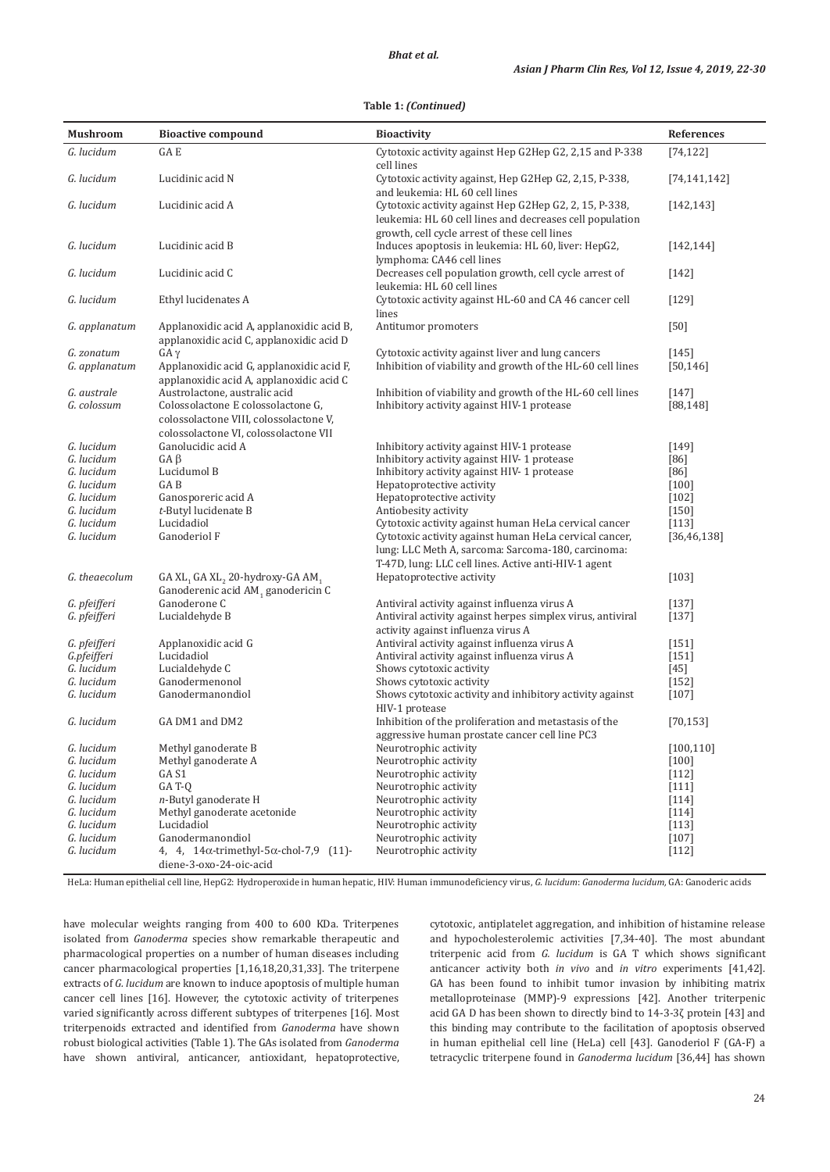### **Table 1:** *(Continued)*

| <b>Mushroom</b>             | <b>Bioactive compound</b>                                                                                                                              | <b>Bioactivity</b>                                                                                                                                                   | References           |
|-----------------------------|--------------------------------------------------------------------------------------------------------------------------------------------------------|----------------------------------------------------------------------------------------------------------------------------------------------------------------------|----------------------|
| G. lucidum                  | GA E                                                                                                                                                   | Cytotoxic activity against Hep G2Hep G2, 2,15 and P-338                                                                                                              | [74, 122]            |
| G. lucidum                  | Lucidinic acid N                                                                                                                                       | cell lines<br>Cytotoxic activity against, Hep G2Hep G2, 2,15, P-338,<br>and leukemia: HL 60 cell lines                                                               | [74, 141, 142]       |
| G. lucidum                  | Lucidinic acid A                                                                                                                                       | Cytotoxic activity against Hep G2Hep G2, 2, 15, P-338,<br>leukemia: HL 60 cell lines and decreases cell population                                                   | [142, 143]           |
| G. lucidum                  | Lucidinic acid B                                                                                                                                       | growth, cell cycle arrest of these cell lines<br>Induces apoptosis in leukemia: HL 60, liver: HepG2,<br>lymphoma: CA46 cell lines                                    | [142, 144]           |
| G. lucidum                  | Lucidinic acid C                                                                                                                                       | Decreases cell population growth, cell cycle arrest of<br>leukemia: HL 60 cell lines                                                                                 | $[142]$              |
| G. lucidum                  | Ethyl lucidenates A                                                                                                                                    | Cytotoxic activity against HL-60 and CA 46 cancer cell<br>lines                                                                                                      | $[129]$              |
| G. applanatum               | Applanoxidic acid A, applanoxidic acid B,<br>applanoxidic acid C, applanoxidic acid D                                                                  | Antitumor promoters                                                                                                                                                  | $[50]$               |
| G. zonatum<br>G. applanatum | $GA \gamma$<br>Applanoxidic acid G, applanoxidic acid F,<br>applanoxidic acid A, applanoxidic acid C                                                   | Cytotoxic activity against liver and lung cancers<br>Inhibition of viability and growth of the HL-60 cell lines                                                      | $[145]$<br>[50, 146] |
| G. australe<br>G. colossum  | Austrolactone, australic acid<br>Colossolactone E colossolactone G,<br>colossolactone VIII, colossolactone V,<br>colossolactone VI, colossolactone VII | Inhibition of viability and growth of the HL-60 cell lines<br>Inhibitory activity against HIV-1 protease                                                             | $[147]$<br>[88, 148] |
| G. lucidum                  | Ganolucidic acid A                                                                                                                                     | Inhibitory activity against HIV-1 protease                                                                                                                           | $[149]$              |
| G. lucidum                  | $GA \beta$                                                                                                                                             | Inhibitory activity against HIV-1 protease                                                                                                                           | [86]                 |
| G. lucidum                  | Lucidumol B                                                                                                                                            | Inhibitory activity against HIV- 1 protease                                                                                                                          | [86]                 |
| G. lucidum                  | GA B                                                                                                                                                   | Hepatoprotective activity                                                                                                                                            | $[100]$              |
| G. lucidum                  | Ganosporeric acid A                                                                                                                                    | Hepatoprotective activity                                                                                                                                            | $[102]$              |
| G. lucidum                  | t-Butyl lucidenate B                                                                                                                                   | Antiobesity activity                                                                                                                                                 | $[150]$              |
| G. lucidum                  | Lucidadiol                                                                                                                                             | Cytotoxic activity against human HeLa cervical cancer                                                                                                                | [113]                |
| G. lucidum                  | Ganoderiol F                                                                                                                                           | Cytotoxic activity against human HeLa cervical cancer,<br>lung: LLC Meth A, sarcoma: Sarcoma-180, carcinoma:<br>T-47D, lung: LLC cell lines. Active anti-HIV-1 agent | [36, 46, 138]        |
| G. theaecolum               | GA XL <sub>1</sub> GA XL <sub>2</sub> 20-hydroxy-GA AM <sub>1</sub><br>Ganoderenic acid AM, ganodericin C                                              | Hepatoprotective activity                                                                                                                                            | $[103]$              |
| G. pfeifferi                | Ganoderone C                                                                                                                                           | Antiviral activity against influenza virus A                                                                                                                         | [137]                |
| G. pfeifferi                | Lucialdehyde B                                                                                                                                         | Antiviral activity against herpes simplex virus, antiviral<br>activity against influenza virus A                                                                     | $[137]$              |
| G. pfeifferi                | Applanoxidic acid G                                                                                                                                    | Antiviral activity against influenza virus A                                                                                                                         | $[151]$              |
| G.pfeifferi                 | Lucidadiol                                                                                                                                             | Antiviral activity against influenza virus A                                                                                                                         | [151]                |
| G. lucidum                  | Lucialdehyde C                                                                                                                                         | Shows cytotoxic activity                                                                                                                                             | $[45]$               |
| G. lucidum                  | Ganodermenonol                                                                                                                                         | Shows cytotoxic activity                                                                                                                                             | $[152]$              |
| G. lucidum                  | Ganodermanondiol                                                                                                                                       | Shows cytotoxic activity and inhibitory activity against<br>HIV-1 protease                                                                                           | $[107]$              |
| G. lucidum                  | GA DM1 and DM2                                                                                                                                         | Inhibition of the proliferation and metastasis of the<br>aggressive human prostate cancer cell line PC3                                                              | [70, 153]            |
| G. lucidum                  | Methyl ganoderate B                                                                                                                                    | Neurotrophic activity                                                                                                                                                | [100, 110]           |
| G. lucidum                  | Methyl ganoderate A                                                                                                                                    | Neurotrophic activity                                                                                                                                                | $[100]$              |
| G. lucidum                  | GA S1                                                                                                                                                  | Neurotrophic activity                                                                                                                                                | $[112]$              |
| G. lucidum                  | GAT-0                                                                                                                                                  | Neurotrophic activity                                                                                                                                                | $[111]$              |
| G. lucidum                  | n-Butyl ganoderate H                                                                                                                                   | Neurotrophic activity                                                                                                                                                | $[114]$              |
| G. lucidum                  | Methyl ganoderate acetonide                                                                                                                            | Neurotrophic activity                                                                                                                                                | [114]                |
| G. lucidum                  | Lucidadiol                                                                                                                                             | Neurotrophic activity                                                                                                                                                | $[113]$              |
| G. lucidum                  | Ganodermanondiol                                                                                                                                       | Neurotrophic activity                                                                                                                                                | $[107]$              |
| G. lucidum                  | 4, 4, 14α-trimethyl-5α-chol-7,9 (11)-<br>diene-3-oxo-24-oic-acid                                                                                       | Neurotrophic activity                                                                                                                                                | $[112]$              |

HeLa: Human epithelial cell line, HepG2: Hydroperoxide in human hepatic, HIV: Human immunodeficiency virus, *G. lucidum*: *Ganoderma lucidum,* GA: Ganoderic acids

have molecular weights ranging from 400 to 600 KDa. Triterpenes isolated from *Ganoderma* species show remarkable therapeutic and pharmacological properties on a number of human diseases including cancer pharmacological properties [1,16,18,20,31,33]. The triterpene extracts of *G. lucidum* are known to induce apoptosis of multiple human cancer cell lines [16]. However, the cytotoxic activity of triterpenes varied significantly across different subtypes of triterpenes [16]. Most triterpenoids extracted and identified from *Ganoderma* have shown robust biological activities (Table 1). The GAs isolated from *Ganoderma* have shown antiviral, anticancer, antioxidant, hepatoprotective,

cytotoxic, antiplatelet aggregation, and inhibition of histamine release and hypocholesterolemic activities [7,34-40]. The most abundant triterpenic acid from *G. lucidum* is GA T which shows significant anticancer activity both *in vivo* and *in vitro* experiments [41,42]. GA has been found to inhibit tumor invasion by inhibiting matrix metalloproteinase (MMP)-9 expressions [42]. Another triterpenic acid GA D has been shown to directly bind to 14-3-3ζ protein [43] and this binding may contribute to the facilitation of apoptosis observed in human epithelial cell line (HeLa) cell [43]. Ganoderiol F (GA-F) a tetracyclic triterpene found in *Ganoderma lucidum* [36,44] has shown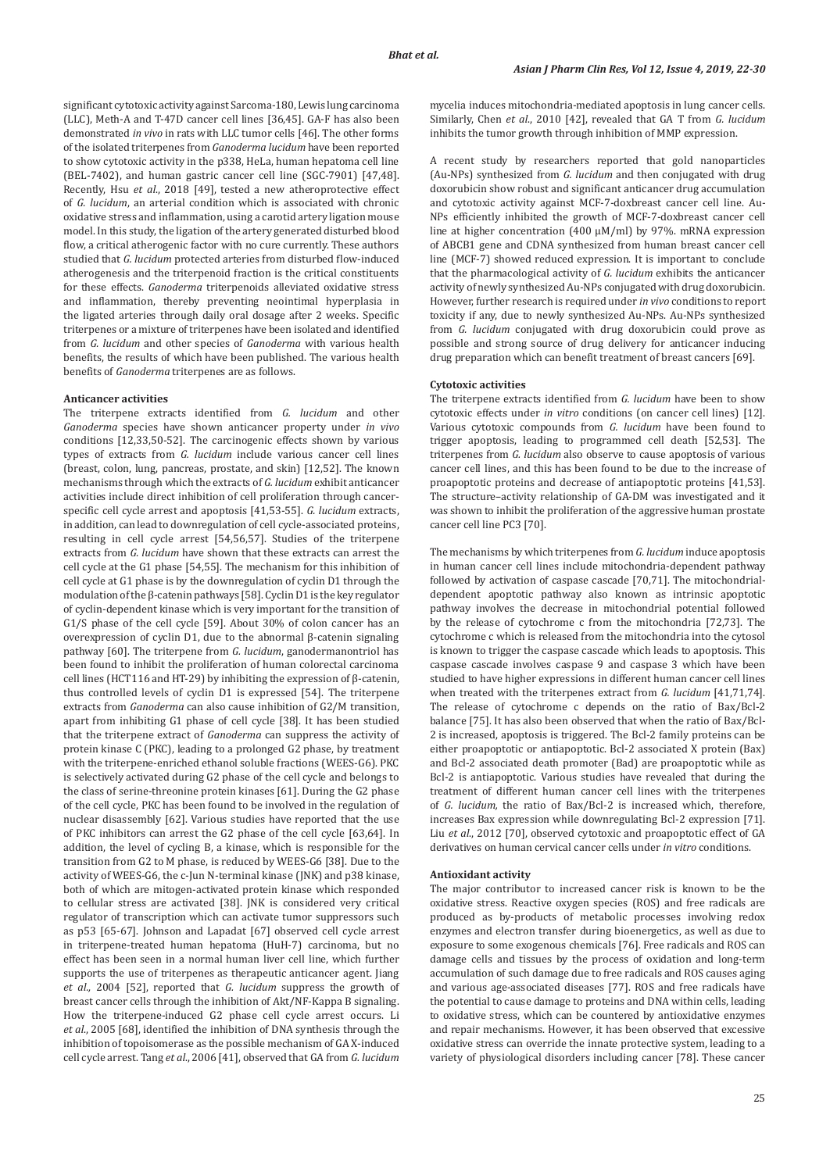significant cytotoxic activity against Sarcoma-180, Lewis lung carcinoma (LLC), Meth-A and T-47D cancer cell lines [36,45]. GA-F has also been demonstrated *in vivo* in rats with LLC tumor cells [46]. The other forms of the isolated triterpenes from *Ganoderma lucidum* have been reported to show cytotoxic activity in the p338, HeLa, human hepatoma cell line (BEL-7402), and human gastric cancer cell line (SGC-7901) [47,48]. Recently, Hsu *et al*., 2018 [49], tested a new atheroprotective effect of *G. lucidum*, an arterial condition which is associated with chronic oxidative stress and inflammation, using a carotid artery ligation mouse model. In this study, the ligation of the artery generated disturbed blood flow, a critical atherogenic factor with no cure currently. These authors studied that *G. lucidum* protected arteries from disturbed flow-induced atherogenesis and the triterpenoid fraction is the critical constituents for these effects. *Ganoderma* triterpenoids alleviated oxidative stress and inflammation, thereby preventing neointimal hyperplasia in the ligated arteries through daily oral dosage after 2 weeks. Specific triterpenes or a mixture of triterpenes have been isolated and identified from *G. lucidum* and other species of *Ganoderma* with various health benefits, the results of which have been published. The various health benefits of *Ganoderma* triterpenes are as follows.

#### **Anticancer activities**

The triterpene extracts identified from *G. lucidum* and other *Ganoderma* species have shown anticancer property under *in vivo* conditions [12,33,50-52]. The carcinogenic effects shown by various types of extracts from *G. lucidum* include various cancer cell lines (breast, colon, lung, pancreas, prostate, and skin) [12,52]. The known mechanisms through which the extracts of *G. lucidum* exhibit anticancer activities include direct inhibition of cell proliferation through cancerspecific cell cycle arrest and apoptosis [41,53-55]. *G. lucidum* extracts, in addition, can lead to downregulation of cell cycle-associated proteins, resulting in cell cycle arrest [54,56,57]. Studies of the triterpene extracts from *G. lucidum* have shown that these extracts can arrest the cell cycle at the G1 phase [54,55]. The mechanism for this inhibition of cell cycle at G1 phase is by the downregulation of cyclin D1 through the modulation of the β-catenin pathways [58]. Cyclin D1 is the key regulator of cyclin-dependent kinase which is very important for the transition of G1/S phase of the cell cycle [59]. About 30% of colon cancer has an overexpression of cyclin D1, due to the abnormal β-catenin signaling pathway [60]. The triterpene from *G. lucidum*, ganodermanontriol has been found to inhibit the proliferation of human colorectal carcinoma cell lines (HCT116 and HT-29) by inhibiting the expression of β-catenin, thus controlled levels of cyclin D1 is expressed [54]. The triterpene extracts from *Ganoderma* can also cause inhibition of G2/M transition, apart from inhibiting G1 phase of cell cycle [38]. It has been studied that the triterpene extract of *Ganoderma* can suppress the activity of protein kinase C (PKC), leading to a prolonged G2 phase, by treatment with the triterpene-enriched ethanol soluble fractions (WEES-G6). PKC is selectively activated during G2 phase of the cell cycle and belongs to the class of serine-threonine protein kinases [61]. During the G2 phase of the cell cycle, PKC has been found to be involved in the regulation of nuclear disassembly [62]. Various studies have reported that the use of PKC inhibitors can arrest the G2 phase of the cell cycle [63,64]. In addition, the level of cycling B, a kinase, which is responsible for the transition from G2 to M phase, is reduced by WEES-G6 [38]. Due to the activity of WEES-G6, the c-Jun N-terminal kinase (JNK) and p38 kinase, both of which are mitogen-activated protein kinase which responded to cellular stress are activated [38]. JNK is considered very critical regulator of transcription which can activate tumor suppressors such as p53 [65-67]. Johnson and Lapadat [67] observed cell cycle arrest in triterpene-treated human hepatoma (HuH-7) carcinoma, but no effect has been seen in a normal human liver cell line, which further supports the use of triterpenes as therapeutic anticancer agent. Jiang *et al.,* 2004 [52], reported that *G. lucidum* suppress the growth of breast cancer cells through the inhibition of Akt/NF-Kappa B signaling. How the triterpene-induced G2 phase cell cycle arrest occurs. Li *et al*., 2005 [68], identified the inhibition of DNA synthesis through the inhibition of topoisomerase as the possible mechanism of GA X-induced cell cycle arrest. Tang *et al*., 2006 [41], observed that GA from *G. lucidum*

mycelia induces mitochondria-mediated apoptosis in lung cancer cells. Similarly, Chen *et al*., 2010 [42], revealed that GA T from *G. lucidum* inhibits the tumor growth through inhibition of MMP expression.

A recent study by researchers reported that gold nanoparticles (Au-NPs) synthesized from *G. lucidum* and then conjugated with drug doxorubicin show robust and significant anticancer drug accumulation and cytotoxic activity against MCF-7-doxbreast cancer cell line. Au-NPs efficiently inhibited the growth of MCF-7-doxbreast cancer cell line at higher concentration (400 μM/ml) by 97%. mRNA expression of ABCB1 gene and CDNA synthesized from human breast cancer cell line (MCF-7) showed reduced expression. It is important to conclude that the pharmacological activity of *G. lucidum* exhibits the anticancer activity of newly synthesized Au-NPs conjugated with drug doxorubicin. However, further research is required under *in vivo* conditions to report toxicity if any, due to newly synthesized Au-NPs. Au-NPs synthesized from *G. lucidum* conjugated with drug doxorubicin could prove as possible and strong source of drug delivery for anticancer inducing drug preparation which can benefit treatment of breast cancers [69].

#### **Cytotoxic activities**

The triterpene extracts identified from *G. lucidum* have been to show cytotoxic effects under *in vitro* conditions (on cancer cell lines) [12]. Various cytotoxic compounds from *G. lucidum* have been found to trigger apoptosis, leading to programmed cell death [52,53]. The triterpenes from *G. lucidum* also observe to cause apoptosis of various cancer cell lines, and this has been found to be due to the increase of proapoptotic proteins and decrease of antiapoptotic proteins [41,53]. The structure–activity relationship of GA-DM was investigated and it was shown to inhibit the proliferation of the aggressive human prostate cancer cell line PC3 [70].

The mechanisms by which triterpenes from *G. lucidum* induce apoptosis in human cancer cell lines include mitochondria-dependent pathway followed by activation of caspase cascade [70,71]. The mitochondrialdependent apoptotic pathway also known as intrinsic apoptotic pathway involves the decrease in mitochondrial potential followed by the release of cytochrome c from the mitochondria [72,73]. The cytochrome c which is released from the mitochondria into the cytosol is known to trigger the caspase cascade which leads to apoptosis. This caspase cascade involves caspase 9 and caspase 3 which have been studied to have higher expressions in different human cancer cell lines when treated with the triterpenes extract from *G. lucidum* [41,71,74]. The release of cytochrome c depends on the ratio of Bax/Bcl-2 balance [75]. It has also been observed that when the ratio of Bax/Bcl-2 is increased, apoptosis is triggered. The Bcl-2 family proteins can be either proapoptotic or antiapoptotic. Bcl-2 associated X protein (Bax) and Bcl-2 associated death promoter (Bad) are proapoptotic while as Bcl-2 is antiapoptotic. Various studies have revealed that during the treatment of different human cancer cell lines with the triterpenes of *G. lucidum,* the ratio of Bax/Bcl-2 is increased which, therefore, increases Bax expression while downregulating Bcl-2 expression [71]. Liu *et al*., 2012 [70], observed cytotoxic and proapoptotic effect of GA derivatives on human cervical cancer cells under *in vitro* conditions.

### **Antioxidant activity**

The major contributor to increased cancer risk is known to be the oxidative stress. Reactive oxygen species (ROS) and free radicals are produced as by-products of metabolic processes involving redox enzymes and electron transfer during bioenergetics, as well as due to exposure to some exogenous chemicals [76]. Free radicals and ROS can damage cells and tissues by the process of oxidation and long-term accumulation of such damage due to free radicals and ROS causes aging and various age-associated diseases [77]. ROS and free radicals have the potential to cause damage to proteins and DNA within cells, leading to oxidative stress, which can be countered by antioxidative enzymes and repair mechanisms. However, it has been observed that excessive oxidative stress can override the innate protective system, leading to a variety of physiological disorders including cancer [78]. These cancer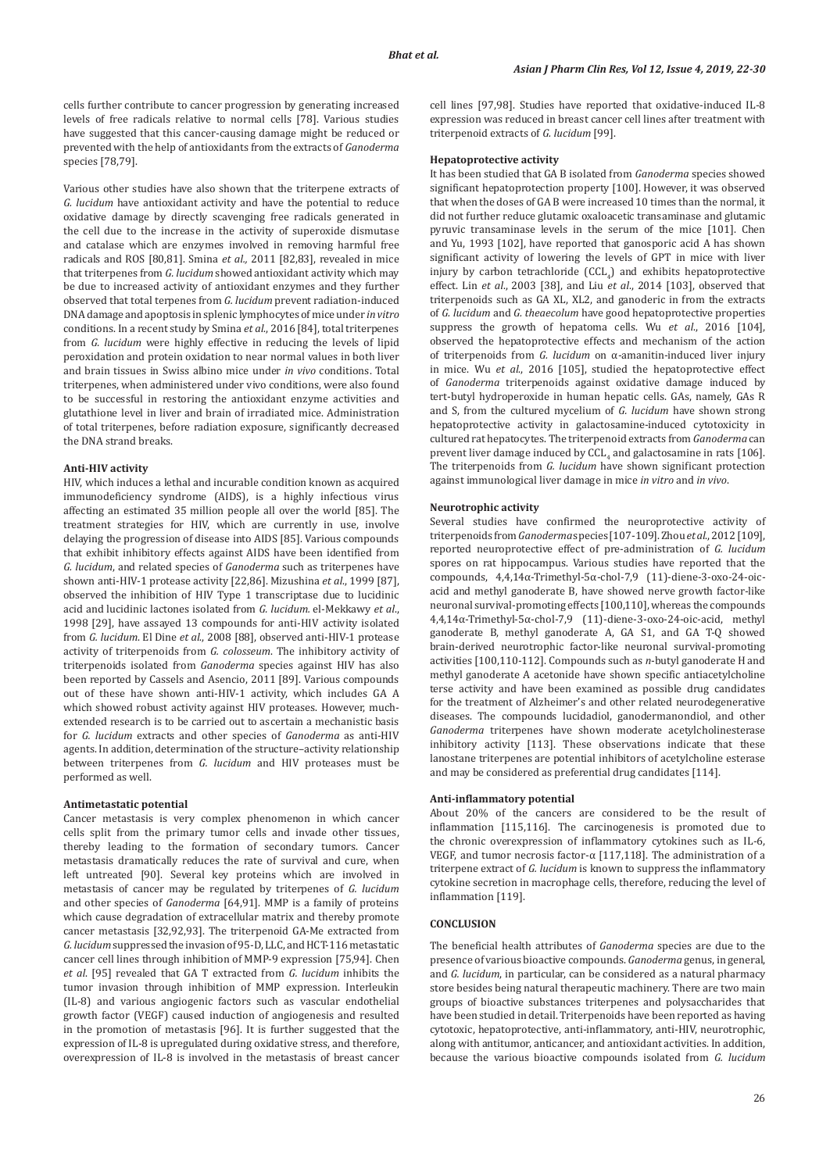cells further contribute to cancer progression by generating increased levels of free radicals relative to normal cells [78]. Various studies have suggested that this cancer-causing damage might be reduced or prevented with the help of antioxidants from the extracts of *Ganoderma* species [78,79].

Various other studies have also shown that the triterpene extracts of *G. lucidum* have antioxidant activity and have the potential to reduce oxidative damage by directly scavenging free radicals generated in the cell due to the increase in the activity of superoxide dismutase and catalase which are enzymes involved in removing harmful free radicals and ROS [80,81]. Smina *et al.,* 2011 [82,83], revealed in mice that triterpenes from *G. lucidum* showed antioxidant activity which may be due to increased activity of antioxidant enzymes and they further observed that total terpenes from *G. lucidum* prevent radiation-induced DNA damage and apoptosis in splenic lymphocytes of mice under *in vitro* conditions. In a recent study by Smina *et al*., 2016 [84], total triterpenes from *G. lucidum* were highly effective in reducing the levels of lipid peroxidation and protein oxidation to near normal values in both liver and brain tissues in Swiss albino mice under *in vivo* conditions. Total triterpenes, when administered under vivo conditions, were also found to be successful in restoring the antioxidant enzyme activities and glutathione level in liver and brain of irradiated mice. Administration of total triterpenes, before radiation exposure, significantly decreased the DNA strand breaks.

### **Anti-HIV activity**

HIV, which induces a lethal and incurable condition known as acquired immunodeficiency syndrome (AIDS), is a highly infectious virus affecting an estimated 35 million people all over the world [85]. The treatment strategies for HIV, which are currently in use, involve delaying the progression of disease into AIDS [85]. Various compounds that exhibit inhibitory effects against AIDS have been identified from *G. lucidum*, and related species of *Ganoderma* such as triterpenes have shown anti-HIV-1 protease activity [22,86]. Mizushina *et al*., 1999 [87], observed the inhibition of HIV Type 1 transcriptase due to lucidinic acid and lucidinic lactones isolated from *G. lucidum.* el-Mekkawy *et al*., 1998 [29], have assayed 13 compounds for anti-HIV activity isolated from *G. lucidum*. El Dine *et al*., 2008 [88], observed anti-HIV-1 protease activity of triterpenoids from *G. colosseum*. The inhibitory activity of triterpenoids isolated from *Ganoderma* species against HIV has also been reported by Cassels and Asencio, 2011 [89]. Various compounds out of these have shown anti-HIV-1 activity, which includes GA A which showed robust activity against HIV proteases. However, muchextended research is to be carried out to ascertain a mechanistic basis for *G. lucidum* extracts and other species of *Ganoderma* as anti-HIV agents. In addition, determination of the structure–activity relationship between triterpenes from *G. lucidum* and HIV proteases must be performed as well.

#### **Antimetastatic potential**

Cancer metastasis is very complex phenomenon in which cancer cells split from the primary tumor cells and invade other tissues, thereby leading to the formation of secondary tumors. Cancer metastasis dramatically reduces the rate of survival and cure, when left untreated [90]. Several key proteins which are involved in metastasis of cancer may be regulated by triterpenes of *G. lucidum*  and other species of *Ganoderma* [64,91]. MMP is a family of proteins which cause degradation of extracellular matrix and thereby promote cancer metastasis [32,92,93]. The triterpenoid GA-Me extracted from *G. lucidum* suppressed the invasion of 95-D, LLC, and HCT-116 metastatic cancer cell lines through inhibition of MMP-9 expression [75,94]. Chen *et al*. [95] revealed that GA T extracted from *G. lucidum* inhibits the tumor invasion through inhibition of MMP expression. Interleukin (IL-8) and various angiogenic factors such as vascular endothelial growth factor (VEGF) caused induction of angiogenesis and resulted in the promotion of metastasis [96]. It is further suggested that the expression of IL-8 is upregulated during oxidative stress, and therefore, overexpression of IL-8 is involved in the metastasis of breast cancer

cell lines [97,98]. Studies have reported that oxidative-induced IL-8 expression was reduced in breast cancer cell lines after treatment with triterpenoid extracts of *G. lucidum* [99].

#### **Hepatoprotective activity**

It has been studied that GA B isolated from *Ganoderma* species showed significant hepatoprotection property [100]. However, it was observed that when the doses of GA B were increased 10 times than the normal, it did not further reduce glutamic oxaloacetic transaminase and glutamic pyruvic transaminase levels in the serum of the mice [101]. Chen and Yu, 1993 [102], have reported that ganosporic acid A has shown significant activity of lowering the levels of GPT in mice with liver injury by carbon tetrachloride  $\left(\text{CL}_4\right)$  and exhibits hepatoprotective effect. Lin *et al*., 2003 [38], and Liu *et al*., 2014 [103], observed that triterpenoids such as GA XL, XL2, and ganoderic in from the extracts of *G. lucidum* and *G. theaecolum* have good hepatoprotective properties suppress the growth of hepatoma cells. Wu *et al*., 2016 [104], observed the hepatoprotective effects and mechanism of the action of triterpenoids from *G. lucidum* on α-amanitin-induced liver injury in mice. Wu *et al*., 2016 [105], studied the hepatoprotective effect of *Ganoderma* triterpenoids against oxidative damage induced by tert-butyl hydroperoxide in human hepatic cells. GAs, namely, GAs R and S, from the cultured mycelium of *G. lucidum* have shown strong hepatoprotective activity in galactosamine-induced cytotoxicity in cultured rat hepatocytes. The triterpenoid extracts from *Ganoderma* can prevent liver damage induced by  $\mathrm{CCL}_4$  and galactosamine in rats [106]. The triterpenoids from *G. lucidum* have shown significant protection against immunological liver damage in mice *in vitro* and *in vivo*.

#### **Neurotrophic activity**

Several studies have confirmed the neuroprotective activity of triterpenoids from *Ganoderma* species [107-109]. Zhou *et al*., 2012 [109], reported neuroprotective effect of pre-administration of *G. lucidum* spores on rat hippocampus. Various studies have reported that the compounds, 4,4,14α-Trimethyl-5α-chol-7,9 (11)-diene-3-oxo-24-oicacid and methyl ganoderate B, have showed nerve growth factor-like neuronal survival-promoting effects [100,110], whereas the compounds 4,4,14α-Trimethyl-5α-chol-7,9 (11)-diene-3-oxo-24-oic-acid, methyl ganoderate B, methyl ganoderate A, GA S1, and GA T-Q showed brain-derived neurotrophic factor-like neuronal survival-promoting activities [100,110-112]. Compounds such as *n*-butyl ganoderate H and methyl ganoderate A acetonide have shown specific antiacetylcholine terse activity and have been examined as possible drug candidates for the treatment of Alzheimer's and other related neurodegenerative diseases. The compounds lucidadiol, ganodermanondiol, and other *Ganoderma* triterpenes have shown moderate acetylcholinesterase inhibitory activity [113]. These observations indicate that these lanostane triterpenes are potential inhibitors of acetylcholine esterase and may be considered as preferential drug candidates [114].

#### **Anti-inflammatory potential**

About 20% of the cancers are considered to be the result of inflammation [115,116]. The carcinogenesis is promoted due to the chronic overexpression of inflammatory cytokines such as IL-6, VEGF, and tumor necrosis factor-α [117,118]. The administration of a triterpene extract of *G. lucidum* is known to suppress the inflammatory cytokine secretion in macrophage cells, therefore, reducing the level of inflammation [119].

### **CONCLUSION**

The beneficial health attributes of *Ganoderma* species are due to the presence of various bioactive compounds. *Ganoderma* genus, in general, and *G. lucidum*, in particular, can be considered as a natural pharmacy store besides being natural therapeutic machinery. There are two main groups of bioactive substances triterpenes and polysaccharides that have been studied in detail. Triterpenoids have been reported as having cytotoxic, hepatoprotective, anti-inflammatory, anti-HIV, neurotrophic, along with antitumor, anticancer, and antioxidant activities. In addition, because the various bioactive compounds isolated from *G. lucidum*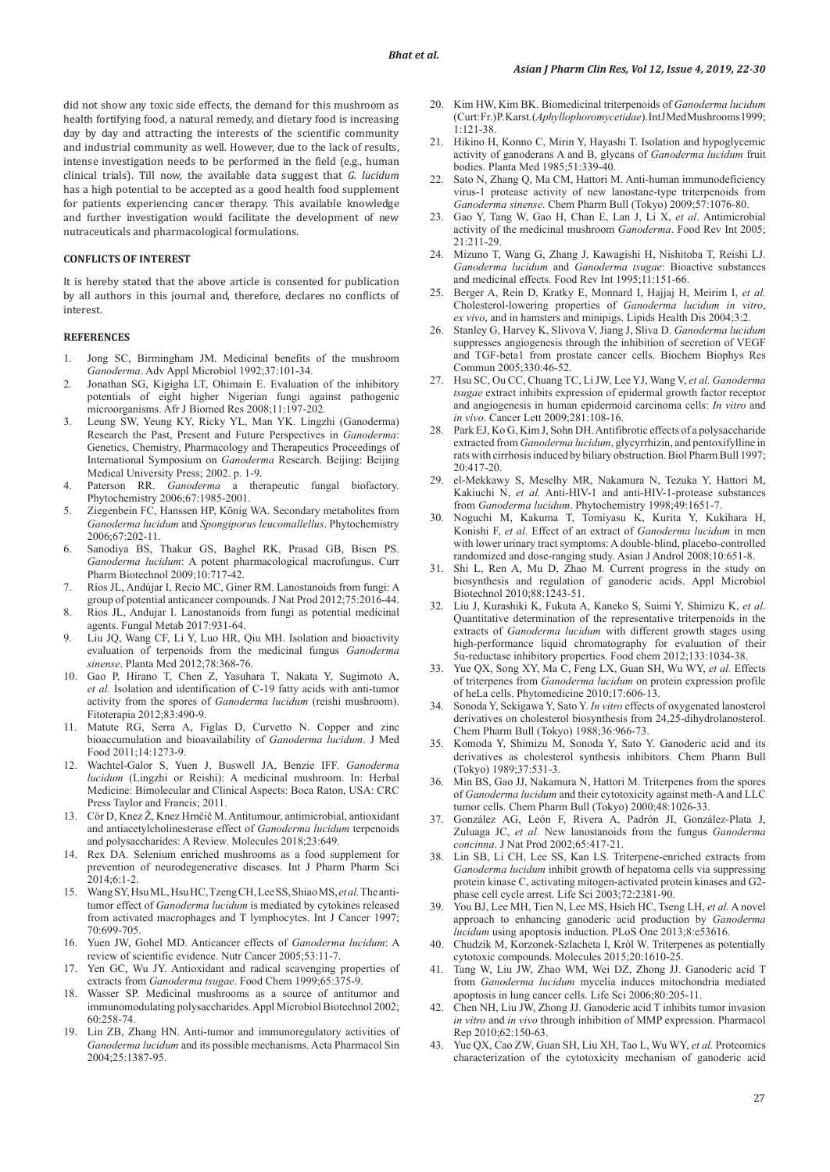did not show any toxic side effects, the demand for this mushroom as health fortifying food, a natural remedy, and dietary food is increasing day by day and attracting the interests of the scientific community and industrial community as well. However, due to the lack of results, intense investigation needs to be performed in the field (e.g., human clinical trials). Till now, the available data suggest that *G. lucidum*  has a high potential to be accepted as a good health food supplement for patients experiencing cancer therapy. This available knowledge and further investigation would facilitate the development of new nutraceuticals and pharmacological formulations.

### **CONFLICTS OF INTEREST**

It is hereby stated that the above article is consented for publication by all authors in this journal and, therefore, declares no conflicts of interest.

#### **REFERENCES**

- 1. Jong SC, Birmingham JM. Medicinal benefits of the mushroom *Ganoderma*. Adv Appl Microbiol 1992;37:101-34.
- 2. Jonathan SG, Kigigha LT, Ohimain E. Evaluation of the inhibitory potentials of eight higher Nigerian fungi against pathogenic microorganisms. Afr J Biomed Res 2008;11:197-202.
- 3. Leung SW, Yeung KY, Ricky YL, Man YK. Lingzhi (Ganoderma) Research the Past, Present and Future Perspectives in *Ganoderma*: Genetics, Chemistry, Pharmacology and Therapeutics Proceedings of International Symposium on *Ganoderma* Research. Beijing: Beijing Medical University Press; 2002. p. 1-9.
- 4. Paterson RR. *Ganoderma* a therapeutic fungal biofactory. Phytochemistry 2006;67:1985-2001.
- 5. Ziegenbein FC, Hanssen HP, König WA. Secondary metabolites from *Ganoderma lucidum* and *Spongiporus leucomallellus*. Phytochemistry 2006;67:202-11.
- 6. Sanodiya BS, Thakur GS, Baghel RK, Prasad GB, Bisen PS. *Ganoderma lucidum*: A potent pharmacological macrofungus. Curr Pharm Biotechnol 2009;10:717-42.
- 7. Ríos JL, Andújar I, Recio MC, Giner RM. Lanostanoids from fungi: A group of potential anticancer compounds. J Nat Prod 2012;75:2016-44.
- 8. Rios JL, Andujar I. Lanostanoids from fungi as potential medicinal agents. Fungal Metab 2017:931-64.
- 9. Liu JQ, Wang CF, Li Y, Luo HR, Qiu MH. Isolation and bioactivity evaluation of terpenoids from the medicinal fungus *Ganoderma sinense*. Planta Med 2012;78:368-76.
- 10. Gao P, Hirano T, Chen Z, Yasuhara T, Nakata Y, Sugimoto A, *et al.* Isolation and identification of C-19 fatty acids with anti-tumor activity from the spores of *Ganoderma lucidum* (reishi mushroom). Fitoterapia 2012;83:490-9.
- 11. Matute RG, Serra A, Figlas D, Curvetto N. Copper and zinc bioaccumulation and bioavailability of *Ganoderma lucidum*. J Med Food 2011;14:1273-9.
- 12. Wachtel-Galor S, Yuen J, Buswell JA, Benzie IFF. *Ganoderma lucidum* (Lingzhi or Reishi): A medicinal mushroom. In: Herbal Medicine: Bimolecular and Clinical Aspects: Boca Raton, USA: CRC Press Taylor and Francis; 2011.
- 13. Cör D, Knez Ž, Knez Hrnčič M.Antitumour, antimicrobial, antioxidant and antiacetylcholinesterase effect of *Ganoderma lucidum* terpenoids and polysaccharides: A Review. Molecules 2018;23:649.
- 14. Rex DA. Selenium enriched mushrooms as a food supplement for prevention of neurodegenerative diseases. Int J Pharm Pharm Sci  $2014;6:1-2$ .
- 15. Wang SY, Hsu ML, Hsu HC, Tzeng CH, Lee SS, Shiao MS, *et al.* The antitumor effect of *Ganoderma lucidum* is mediated by cytokines released from activated macrophages and T lymphocytes. Int J Cancer 1997; 70:699-705.
- 16. Yuen JW, Gohel MD. Anticancer effects of *Ganoderma lucidum*: A review of scientific evidence. Nutr Cancer 2005;53:11-7.
- 17. Yen GC, Wu JY. Antioxidant and radical scavenging properties of extracts from *Ganoderma tsugae*. Food Chem 1999;65:375-9.
- 18. Wasser SP. Medicinal mushrooms as a source of antitumor and immunomodulating polysaccharides. Appl Microbiol Biotechnol 2002; 60:258-74.
- 19. Lin ZB, Zhang HN. Anti-tumor and immunoregulatory activities of *Ganoderma lucidum* and its possible mechanisms. Acta Pharmacol Sin 2004;25:1387-95.
- 20. Kim HW, Kim BK. Biomedicinal triterpenoids of *Ganoderma lucidum* (Curt: Fr.) P. Karst. (*Aphyllophoromycetidae*). Int J Med Mushrooms 1999; 1:121-38.
- 21. Hikino H, Konno C, Mirin Y, Hayashi T. Isolation and hypoglycemic activity of ganoderans A and B, glycans of *Ganoderma lucidum* fruit bodies. Planta Med 1985;51:339-40.
- 22. Sato N, Zhang Q, Ma CM, Hattori M. Anti-human immunodeficiency virus-1 protease activity of new lanostane-type triterpenoids from *Ganoderma sinense*. Chem Pharm Bull (Tokyo) 2009;57:1076-80.
- 23. Gao Y, Tang W, Gao H, Chan E, Lan J, Li X, *et al*. Antimicrobial activity of the medicinal mushroom *Ganoderma*. Food Rev Int 2005; 21:211-29.
- 24. Mizuno T, Wang G, Zhang J, Kawagishi H, Nishitoba T, Reishi LJ. *Ganoderma lucidum* and *Ganoderma tsugae*: Bioactive substances and medicinal effects. Food Rev Int 1995;11:151-66.
- 25. Berger A, Rein D, Kratky E, Monnard I, Hajjaj H, Meirim I, *et al.* Cholesterol-lowering properties of *Ganoderma lucidum in vitro*, *ex vivo*, and in hamsters and minipigs. Lipids Health Dis 2004;3:2.
- 26. Stanley G, Harvey K, Slivova V, Jiang J, Sliva D. *Ganoderma lucidum* suppresses angiogenesis through the inhibition of secretion of VEGF and TGF-beta1 from prostate cancer cells. Biochem Biophys Res Commun 2005;330:46-52.
- 27. Hsu SC, Ou CC, Chuang TC, Li JW, Lee YJ, Wang V, *et al. Ganoderma tsugae* extract inhibits expression of epidermal growth factor receptor and angiogenesis in human epidermoid carcinoma cells: *In vitro* and *in vivo*. Cancer Lett 2009;281:108-16.
- 28. Park EJ, Ko G, Kim J, Sohn DH. Antifibrotic effects of a polysaccharide extracted from *Ganoderma lucidum*, glycyrrhizin, and pentoxifylline in rats with cirrhosis induced by biliary obstruction. Biol Pharm Bull 1997; 20:417-20.
- 29. el-Mekkawy S, Meselhy MR, Nakamura N, Tezuka Y, Hattori M, Kakiuchi N, *et al.* Anti-HIV-1 and anti-HIV-1-protease substances from *Ganoderma lucidum*. Phytochemistry 1998;49:1651-7.
- 30. Noguchi M, Kakuma T, Tomiyasu K, Kurita Y, Kukihara H, Konishi F, *et al.* Effect of an extract of *Ganoderma lucidum* in men with lower urinary tract symptoms: A double-blind, placebo-controlled randomized and dose-ranging study. Asian J Androl 2008;10:651-8.
- 31. Shi L, Ren A, Mu D, Zhao M. Current progress in the study on biosynthesis and regulation of ganoderic acids. Appl Microbiol Biotechnol 2010;88:1243-51.
- 32. Liu J, Kurashiki K, Fukuta A, Kaneko S, Suimi Y, Shimizu K, *et al*. Quantitative determination of the representative triterpenoids in the extracts of *Ganoderma lucidum* with different growth stages using high-performance liquid chromatography for evaluation of their 5α-reductase inhibitory properties. Food chem 2012;133:1034-38.
- 33. Yue QX, Song XY, Ma C, Feng LX, Guan SH, Wu WY, *et al.* Effects of triterpenes from *Ganoderma lucidum* on protein expression profile of heLa cells. Phytomedicine 2010;17:606-13.
- 34. Sonoda Y, Sekigawa Y, Sato Y. *In vitro* effects of oxygenated lanosterol derivatives on cholesterol biosynthesis from 24,25-dihydrolanosterol. Chem Pharm Bull (Tokyo) 1988;36:966-73.
- 35. Komoda Y, Shimizu M, Sonoda Y, Sato Y. Ganoderic acid and its derivatives as cholesterol synthesis inhibitors. Chem Pharm Bull (Tokyo) 1989;37:531-3.
- 36. Min BS, Gao JJ, Nakamura N, Hattori M. Triterpenes from the spores of *Ganoderma lucidum* and their cytotoxicity against meth-A and LLC tumor cells. Chem Pharm Bull (Tokyo) 2000;48:1026-33.
- 37. González AG, León F, Rivera A, Padrón JI, González-Plata J, Zuluaga JC, *et al.* New lanostanoids from the fungus *Ganoderma concinna*. J Nat Prod 2002;65:417-21.
- 38. Lin SB, Li CH, Lee SS, Kan LS. Triterpene-enriched extracts from *Ganoderma lucidum* inhibit growth of hepatoma cells via suppressing protein kinase C, activating mitogen-activated protein kinases and G2 phase cell cycle arrest. Life Sci 2003;72:2381-90.
- 39. You BJ, Lee MH, Tien N, Lee MS, Hsieh HC, Tseng LH, *et al.* A novel approach to enhancing ganoderic acid production by *Ganoderma lucidum* using apoptosis induction. PLoS One 2013;8:e53616.
- 40. Chudzik M, Korzonek-Szlacheta I, Król W. Triterpenes as potentially cytotoxic compounds. Molecules 2015;20:1610-25.
- 41. Tang W, Liu JW, Zhao WM, Wei DZ, Zhong JJ. Ganoderic acid T from *Ganoderma lucidum* mycelia induces mitochondria mediated apoptosis in lung cancer cells. Life Sci 2006;80:205-11.
- 42. Chen NH, Liu JW, Zhong JJ. Ganoderic acid T inhibits tumor invasion *in vitro* and *in vivo* through inhibition of MMP expression. Pharmacol Rep 2010;62:150-63.
- 43. Yue QX, Cao ZW, Guan SH, Liu XH, Tao L, Wu WY, *et al.* Proteomics characterization of the cytotoxicity mechanism of ganoderic acid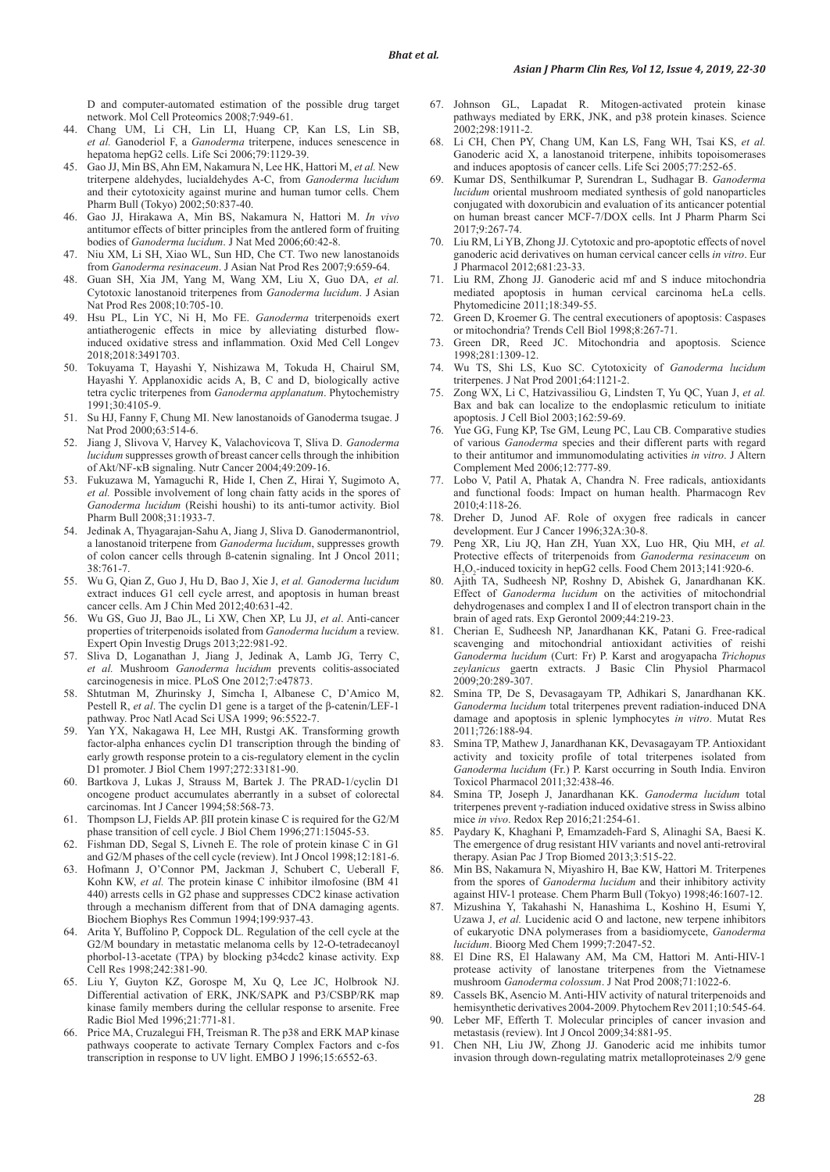D and computer-automated estimation of the possible drug target network. Mol Cell Proteomics 2008;7:949-61.

- 44. Chang UM, Li CH, Lin LI, Huang CP, Kan LS, Lin SB, *et al.* Ganoderiol F, a *Ganoderma* triterpene, induces senescence in hepatoma hepG2 cells. Life Sci 2006;79:1129-39.
- 45. Gao JJ, Min BS, Ahn EM, Nakamura N, Lee HK, Hattori M, *et al.* New triterpene aldehydes, lucialdehydes A-C, from *Ganoderma lucidum* and their cytotoxicity against murine and human tumor cells. Chem Pharm Bull (Tokyo) 2002;50:837-40.
- 46. Gao JJ, Hirakawa A, Min BS, Nakamura N, Hattori M. *In vivo* antitumor effects of bitter principles from the antlered form of fruiting bodies of *Ganoderma lucidum*. J Nat Med 2006;60:42-8.
- 47. Niu XM, Li SH, Xiao WL, Sun HD, Che CT. Two new lanostanoids from *Ganoderma resinaceum*. J Asian Nat Prod Res 2007;9:659-64.
- 48. Guan SH, Xia JM, Yang M, Wang XM, Liu X, Guo DA, *et al.* Cytotoxic lanostanoid triterpenes from *Ganoderma lucidum*. J Asian Nat Prod Res 2008;10:705-10.
- 49. Hsu PL, Lin YC, Ni H, Mo FE. *Ganoderma* triterpenoids exert antiatherogenic effects in mice by alleviating disturbed flowinduced oxidative stress and inflammation. Oxid Med Cell Longev 2018;2018:3491703.
- 50. Tokuyama T, Hayashi Y, Nishizawa M, Tokuda H, Chairul SM, Hayashi Y. Applanoxidic acids A, B, C and D, biologically active tetra cyclic triterpenes from *Ganoderma applanatum*. Phytochemistry 1991;30:4105-9.
- 51. Su HJ, Fanny F, Chung MI. New lanostanoids of Ganoderma tsugae. J Nat Prod 2000;63:514-6.
- 52. Jiang J, Slivova V, Harvey K, Valachovicova T, Sliva D. *Ganoderma lucidum* suppresses growth of breast cancer cells through the inhibition of Akt/NF-κB signaling. Nutr Cancer 2004;49:209-16.
- 53. Fukuzawa M, Yamaguchi R, Hide I, Chen Z, Hirai Y, Sugimoto A, *et al.* Possible involvement of long chain fatty acids in the spores of *Ganoderma lucidum* (Reishi houshi) to its anti-tumor activity. Biol Pharm Bull 2008;31:1933-7.
- 54. Jedinak A, Thyagarajan-Sahu A, Jiang J, Sliva D. Ganodermanontriol, a lanostanoid triterpene from *Ganoderma lucidum*, suppresses growth of colon cancer cells through ß-catenin signaling. Int J Oncol 2011; 38:761-7.
- 55. Wu G, Qian Z, Guo J, Hu D, Bao J, Xie J, *et al. Ganoderma lucidum* extract induces G1 cell cycle arrest, and apoptosis in human breast cancer cells. Am J Chin Med 2012;40:631-42.
- 56. Wu GS, Guo JJ, Bao JL, Li XW, Chen XP, Lu JJ, *et al*. Anti-cancer properties of triterpenoids isolated from *Ganoderma lucidum* a review. Expert Opin Investig Drugs 2013;22:981-92.
- 57. Sliva D, Loganathan J, Jiang J, Jedinak A, Lamb JG, Terry C, *et al.* Mushroom *Ganoderma lucidum* prevents colitis-associated carcinogenesis in mice. PLoS One 2012;7:e47873.
- 58. Shtutman M, Zhurinsky J, Simcha I, Albanese C, D'Amico M, Pestell R, *et al*. The cyclin D1 gene is a target of the β-catenin/LEF-1 pathway. Proc Natl Acad Sci USA 1999; 96:5522-7.
- 59. Yan YX, Nakagawa H, Lee MH, Rustgi AK. Transforming growth factor-alpha enhances cyclin D1 transcription through the binding of early growth response protein to a cis-regulatory element in the cyclin D1 promoter. J Biol Chem 1997;272:33181-90.
- 60. Bartkova J, Lukas J, Strauss M, Bartek J. The PRAD-1/cyclin D1 oncogene product accumulates aberrantly in a subset of colorectal carcinomas. Int J Cancer 1994;58:568-73.
- Thompson LJ, Fields AP. βII protein kinase C is required for the G2/M phase transition of cell cycle. J Biol Chem 1996;271:15045-53.
- 62. Fishman DD, Segal S, Livneh E. The role of protein kinase C in G1 and G2/M phases of the cell cycle (review). Int J Oncol 1998;12:181-6.
- 63. Hofmann J, O'Connor PM, Jackman J, Schubert C, Ueberall F, Kohn KW, *et al.* The protein kinase C inhibitor ilmofosine (BM 41 440) arrests cells in G2 phase and suppresses CDC2 kinase activation through a mechanism different from that of DNA damaging agents. Biochem Biophys Res Commun 1994;199:937-43.
- 64. Arita Y, Buffolino P, Coppock DL. Regulation of the cell cycle at the G2/M boundary in metastatic melanoma cells by 12-O-tetradecanoyl phorbol-13-acetate (TPA) by blocking p34cdc2 kinase activity. Exp Cell Res 1998;242:381-90.
- 65. Liu Y, Guyton KZ, Gorospe M, Xu Q, Lee JC, Holbrook NJ. Differential activation of ERK, JNK/SAPK and P3/CSBP/RK map kinase family members during the cellular response to arsenite. Free Radic Biol Med 1996;21:771-81.
- 66. Price MA, Cruzalegui FH, Treisman R. The p38 and ERK MAP kinase pathways cooperate to activate Ternary Complex Factors and c-fos transcription in response to UV light. EMBO J 1996;15:6552-63.
- 67. Johnson GL, Lapadat R. Mitogen-activated protein kinase pathways mediated by ERK, JNK, and p38 protein kinases. Science 2002;298:1911-2.
- 68. Li CH, Chen PY, Chang UM, Kan LS, Fang WH, Tsai KS, *et al.* Ganoderic acid X, a lanostanoid triterpene, inhibits topoisomerases and induces apoptosis of cancer cells. Life Sci 2005;77:252-65.
- 69. Kumar DS, Senthilkumar P, Surendran L, Sudhagar B. *Ganoderma lucidum* oriental mushroom mediated synthesis of gold nanoparticles conjugated with doxorubicin and evaluation of its anticancer potential on human breast cancer MCF-7/DOX cells. Int J Pharm Pharm Sci 2017;9:267-74.
- 70. Liu RM, Li YB, Zhong JJ. Cytotoxic and pro-apoptotic effects of novel ganoderic acid derivatives on human cervical cancer cells *in vitro*. Eur J Pharmacol 2012;681:23-33.
- 71. Liu RM, Zhong JJ. Ganoderic acid mf and S induce mitochondria mediated apoptosis in human cervical carcinoma heLa cells. Phytomedicine 2011;18:349-55.
- 72. Green D, Kroemer G. The central executioners of apoptosis: Caspases or mitochondria? Trends Cell Biol 1998;8:267-71.
- 73. Green DR, Reed JC. Mitochondria and apoptosis. Science 1998;281:1309-12.
- 74. Wu TS, Shi LS, Kuo SC. Cytotoxicity of *Ganoderma lucidum* triterpenes. J Nat Prod 2001;64:1121-2.
- 75. Zong WX, Li C, Hatzivassiliou G, Lindsten T, Yu QC, Yuan J, *et al.* Bax and bak can localize to the endoplasmic reticulum to initiate apoptosis. J Cell Biol 2003;162:59-69.
- 76. Yue GG, Fung KP, Tse GM, Leung PC, Lau CB. Comparative studies of various *Ganoderma* species and their different parts with regard to their antitumor and immunomodulating activities *in vitro*. J Altern Complement Med 2006;12:777-89.
- 77. Lobo V, Patil A, Phatak A, Chandra N. Free radicals, antioxidants and functional foods: Impact on human health. Pharmacogn Rev 2010;4:118-26.
- 78. Dreher D, Junod AF. Role of oxygen free radicals in cancer development. Eur J Cancer 1996;32A:30-8.
- 79. Peng XR, Liu JQ, Han ZH, Yuan XX, Luo HR, Qiu MH, *et al.* Protective effects of triterpenoids from *Ganoderma resinaceum* on H2 O2 -induced toxicity in hepG2 cells. Food Chem 2013;141:920-6.
- 80. Ajith TA, Sudheesh NP, Roshny D, Abishek G, Janardhanan KK. Effect of *Ganoderma lucidum* on the activities of mitochondrial dehydrogenases and complex I and II of electron transport chain in the brain of aged rats. Exp Gerontol 2009;44:219-23.
- 81. Cherian E, Sudheesh NP, Janardhanan KK, Patani G. Free-radical scavenging and mitochondrial antioxidant activities of reishi *Ganoderma lucidum* (Curt: Fr) P. Karst and arogyapacha *Trichopus zeylanicus* gaertn extracts. J Basic Clin Physiol Pharmacol 2009;20:289-307.
- 82. Smina TP, De S, Devasagayam TP, Adhikari S, Janardhanan KK. *Ganoderma lucidum* total triterpenes prevent radiation-induced DNA damage and apoptosis in splenic lymphocytes *in vitro*. Mutat Res 2011;726:188-94.
- 83. Smina TP, Mathew J, Janardhanan KK, Devasagayam TP. Antioxidant activity and toxicity profile of total triterpenes isolated from *Ganoderma lucidum* (Fr.) P. Karst occurring in South India. Environ Toxicol Pharmacol 2011;32:438-46.
- 84. Smina TP, Joseph J, Janardhanan KK. *Ganoderma lucidum* total triterpenes prevent γ-radiation induced oxidative stress in Swiss albino mice *in vivo*. Redox Rep 2016;21:254-61.
- 85. Paydary K, Khaghani P, Emamzadeh-Fard S, Alinaghi SA, Baesi K. The emergence of drug resistant HIV variants and novel anti-retroviral therapy. Asian Pac J Trop Biomed 2013;3:515-22.
- 86. Min BS, Nakamura N, Miyashiro H, Bae KW, Hattori M. Triterpenes from the spores of *Ganoderma lucidum* and their inhibitory activity against HIV-1 protease. Chem Pharm Bull (Tokyo) 1998;46:1607-12.
- 87. Mizushina Y, Takahashi N, Hanashima L, Koshino H, Esumi Y, Uzawa J, *et al.* Lucidenic acid O and lactone, new terpene inhibitors of eukaryotic DNA polymerases from a basidiomycete, *Ganoderma lucidum*. Bioorg Med Chem 1999;7:2047-52.
- 88. El Dine RS, El Halawany AM, Ma CM, Hattori M. Anti-HIV-1 protease activity of lanostane triterpenes from the Vietnamese mushroom *Ganoderma colossum*. J Nat Prod 2008;71:1022-6.
- 89. Cassels BK, Asencio M. Anti-HIV activity of natural triterpenoids and hemisynthetic derivatives 2004-2009. Phytochem Rev 2011;10:545-64.
- 90. Leber MF, Efferth T. Molecular principles of cancer invasion and metastasis (review). Int J Oncol 2009;34:881-95.
- 91. Chen NH, Liu JW, Zhong JJ. Ganoderic acid me inhibits tumor invasion through down-regulating matrix metalloproteinases 2/9 gene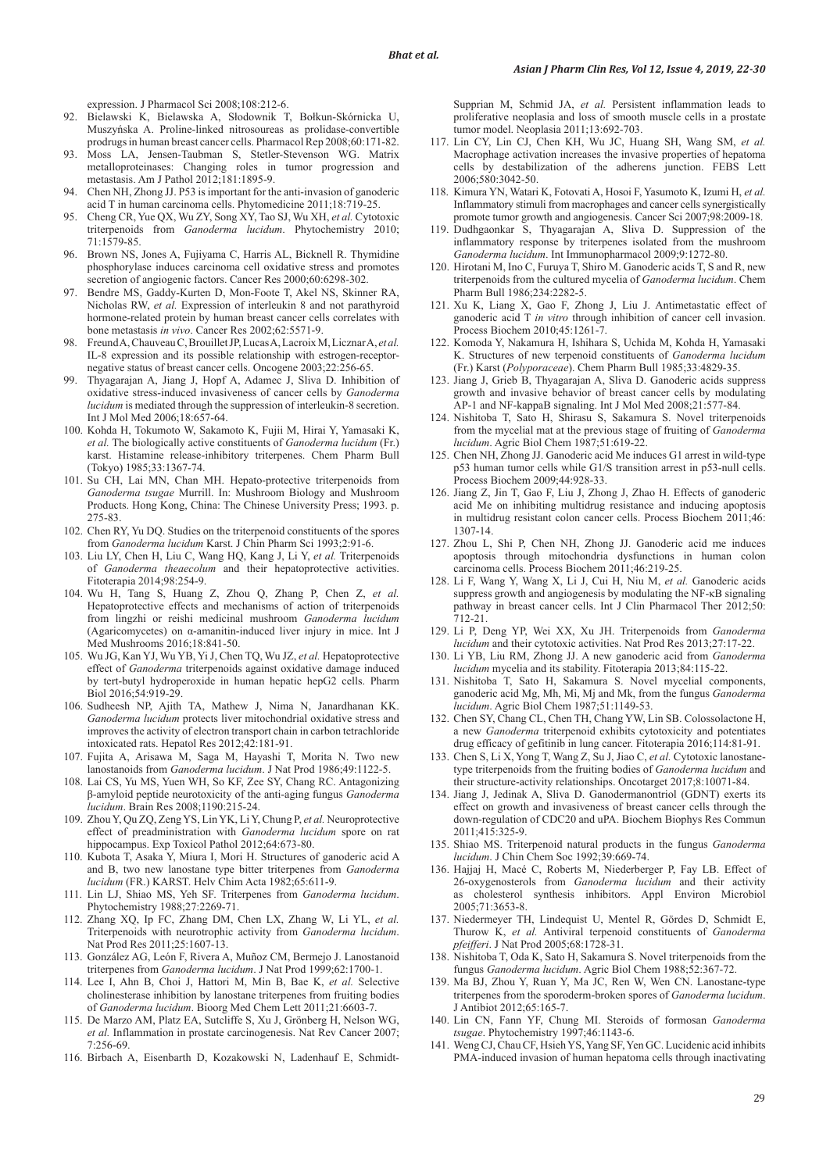expression. J Pharmacol Sci 2008;108:212-6.

- 92. Bielawski K, Bielawska A, Słodownik T, Bołkun-Skórnicka U, Muszyńska A. Proline-linked nitrosoureas as prolidase-convertible prodrugs in human breast cancer cells. Pharmacol Rep 2008;60:171-82.
- 93. Moss LA, Jensen-Taubman S, Stetler-Stevenson WG. Matrix metalloproteinases: Changing roles in tumor progression and metastasis. Am J Pathol 2012;181:1895-9.
- 94. Chen NH, Zhong JJ. P53 is important for the anti-invasion of ganoderic acid T in human carcinoma cells. Phytomedicine 2011;18:719-25.
- 95. Cheng CR, Yue QX, Wu ZY, Song XY, Tao SJ, Wu XH, *et al.* Cytotoxic triterpenoids from *Ganoderma lucidum*. Phytochemistry 2010; 71:1579-85.
- 96. Brown NS, Jones A, Fujiyama C, Harris AL, Bicknell R. Thymidine phosphorylase induces carcinoma cell oxidative stress and promotes secretion of angiogenic factors. Cancer Res 2000;60:6298-302.
- Bendre MS, Gaddy-Kurten D, Mon-Foote T, Akel NS, Skinner RA, Nicholas RW, *et al.* Expression of interleukin 8 and not parathyroid hormone-related protein by human breast cancer cells correlates with bone metastasis *in vivo*. Cancer Res 2002;62:5571-9.
- 98. Freund A, Chauveau C, Brouillet JP, Lucas A, Lacroix M, Licznar A, et al. IL-8 expression and its possible relationship with estrogen-receptornegative status of breast cancer cells. Oncogene 2003;22:256-65.
- 99. Thyagarajan A, Jiang J, Hopf A, Adamec J, Sliva D. Inhibition of oxidative stress-induced invasiveness of cancer cells by *Ganoderma lucidum* is mediated through the suppression of interleukin-8 secretion. Int J Mol Med 2006;18:657-64.
- 100. Kohda H, Tokumoto W, Sakamoto K, Fujii M, Hirai Y, Yamasaki K, *et al.* The biologically active constituents of *Ganoderma lucidum* (Fr.) karst. Histamine release-inhibitory triterpenes. Chem Pharm Bull (Tokyo) 1985;33:1367-74.
- 101. Su CH, Lai MN, Chan MH. Hepato-protective triterpenoids from *Ganoderma tsugae* Murrill. In: Mushroom Biology and Mushroom Products. Hong Kong, China: The Chinese University Press; 1993. p. 275-83.
- 102. Chen RY, Yu DQ. Studies on the triterpenoid constituents of the spores from *Ganoderma lucidum* Karst. J Chin Pharm Sci 1993;2:91-6.
- 103. Liu LY, Chen H, Liu C, Wang HQ, Kang J, Li Y, *et al.* Triterpenoids of *Ganoderma theaecolum* and their hepatoprotective activities. Fitoterapia 2014;98:254-9.
- 104. Wu H, Tang S, Huang Z, Zhou Q, Zhang P, Chen Z, *et al.* Hepatoprotective effects and mechanisms of action of triterpenoids from lingzhi or reishi medicinal mushroom *Ganoderma lucidum* (Agaricomycetes) on α-amanitin-induced liver injury in mice. Int J Med Mushrooms 2016;18:841-50.
- 105. Wu JG, Kan YJ, Wu YB, Yi J, Chen TQ, Wu JZ, *et al.* Hepatoprotective effect of *Ganoderma* triterpenoids against oxidative damage induced by tert-butyl hydroperoxide in human hepatic hepG2 cells. Pharm Biol 2016;54:919-29.
- 106. Sudheesh NP, Ajith TA, Mathew J, Nima N, Janardhanan KK. *Ganoderma lucidum* protects liver mitochondrial oxidative stress and improves the activity of electron transport chain in carbon tetrachloride intoxicated rats. Hepatol Res 2012;42:181-91.
- 107. Fujita A, Arisawa M, Saga M, Hayashi T, Morita N. Two new lanostanoids from *Ganoderma lucidum*. J Nat Prod 1986;49:1122-5.
- 108. Lai CS, Yu MS, Yuen WH, So KF, Zee SY, Chang RC. Antagonizing β-amyloid peptide neurotoxicity of the anti-aging fungus *Ganoderma lucidum*. Brain Res 2008;1190:215-24.
- 109. Zhou Y, Qu ZQ, Zeng YS, Lin YK, Li Y, Chung P, *et al.* Neuroprotective effect of preadministration with *Ganoderma lucidum* spore on rat hippocampus. Exp Toxicol Pathol 2012;64:673-80.
- 110. Kubota T, Asaka Y, Miura I, Mori H. Structures of ganoderic acid A and B, two new lanostane type bitter triterpenes from *Ganoderma lucidum* (FR.) KARST. Helv Chim Acta 1982;65:611-9.
- 111. Lin LJ, Shiao MS, Yeh SF. Triterpenes from *Ganoderma lucidum*. Phytochemistry 1988;27:2269-71.
- 112. Zhang XQ, Ip FC, Zhang DM, Chen LX, Zhang W, Li YL, *et al.* Triterpenoids with neurotrophic activity from *Ganoderma lucidum*. Nat Prod Res 2011;25:1607-13.
- 113. González AG, León F, Rivera A, Muñoz CM, Bermejo J. Lanostanoid triterpenes from *Ganoderma lucidum*. J Nat Prod 1999;62:1700-1.
- 114. Lee I, Ahn B, Choi J, Hattori M, Min B, Bae K, *et al.* Selective cholinesterase inhibition by lanostane triterpenes from fruiting bodies of *Ganoderma lucidum*. Bioorg Med Chem Lett 2011;21:6603-7.
- 115. De Marzo AM, Platz EA, Sutcliffe S, Xu J, Grönberg H, Nelson WG, *et al.* Inflammation in prostate carcinogenesis. Nat Rev Cancer 2007; 7:256-69.
- 116. Birbach A, Eisenbarth D, Kozakowski N, Ladenhauf E, Schmidt-

Supprian M, Schmid JA, *et al.* Persistent inflammation leads to proliferative neoplasia and loss of smooth muscle cells in a prostate tumor model. Neoplasia 2011;13:692-703.

- 117. Lin CY, Lin CJ, Chen KH, Wu JC, Huang SH, Wang SM, *et al.* Macrophage activation increases the invasive properties of hepatoma cells by destabilization of the adherens junction. FEBS Lett 2006;580:3042-50.
- 118. Kimura YN, Watari K, Fotovati A, Hosoi F, Yasumoto K, Izumi H, *et al.* Inflammatory stimuli from macrophages and cancer cells synergistically promote tumor growth and angiogenesis. Cancer Sci 2007;98:2009-18.
- 119. Dudhgaonkar S, Thyagarajan A, Sliva D. Suppression of the inflammatory response by triterpenes isolated from the mushroom *Ganoderma lucidum*. Int Immunopharmacol 2009;9:1272-80.
- 120. Hirotani M, Ino C, Furuya T, Shiro M. Ganoderic acids T, S and R, new triterpenoids from the cultured mycelia of *Ganoderma lucidum*. Chem Pharm Bull 1986;234:2282-5.
- 121. Xu K, Liang X, Gao F, Zhong J, Liu J. Antimetastatic effect of ganoderic acid T *in vitro* through inhibition of cancer cell invasion. Process Biochem 2010;45:1261-7.
- 122. Komoda Y, Nakamura H, Ishihara S, Uchida M, Kohda H, Yamasaki K. Structures of new terpenoid constituents of *Ganoderma lucidum* (Fr.) Karst (*Polyporaceae*). Chem Pharm Bull 1985;33:4829-35.
- 123. Jiang J, Grieb B, Thyagarajan A, Sliva D. Ganoderic acids suppress growth and invasive behavior of breast cancer cells by modulating AP-1 and NF-kappaB signaling. Int J Mol Med 2008;21:577-84.
- 124. Nishitoba T, Sato H, Shirasu S, Sakamura S. Novel triterpenoids from the mycelial mat at the previous stage of fruiting of *Ganoderma lucidum*. Agric Biol Chem 1987;51:619-22.
- 125. Chen NH, Zhong JJ. Ganoderic acid Me induces G1 arrest in wild-type p53 human tumor cells while G1/S transition arrest in p53-null cells. Process Biochem 2009;44:928-33.
- 126. Jiang Z, Jin T, Gao F, Liu J, Zhong J, Zhao H. Effects of ganoderic acid Me on inhibiting multidrug resistance and inducing apoptosis in multidrug resistant colon cancer cells. Process Biochem 2011;46: 1307-14.
- 127. Zhou L, Shi P, Chen NH, Zhong JJ. Ganoderic acid me induces apoptosis through mitochondria dysfunctions in human colon carcinoma cells. Process Biochem 2011;46:219-25.
- 128. Li F, Wang Y, Wang X, Li J, Cui H, Niu M, *et al.* Ganoderic acids suppress growth and angiogenesis by modulating the NF-κB signaling pathway in breast cancer cells. Int J Clin Pharmacol Ther 2012;50: 712-21.
- 129. Li P, Deng YP, Wei XX, Xu JH. Triterpenoids from *Ganoderma lucidum* and their cytotoxic activities. Nat Prod Res 2013;27:17-22.
- 130. Li YB, Liu RM, Zhong JJ. A new ganoderic acid from *Ganoderma lucidum* mycelia and its stability. Fitoterapia 2013;84:115-22.
- 131. Nishitoba T, Sato H, Sakamura S. Novel mycelial components, ganoderic acid Mg, Mh, Mi, Mj and Mk, from the fungus *Ganoderma lucidum*. Agric Biol Chem 1987;51:1149-53.
- 132. Chen SY, Chang CL, Chen TH, Chang YW, Lin SB. Colossolactone H, a new *Ganoderma* triterpenoid exhibits cytotoxicity and potentiates drug efficacy of gefitinib in lung cancer. Fitoterapia 2016;114:81-91.
- 133. Chen S, Li X, Yong T, Wang Z, Su J, Jiao C, *et al.* Cytotoxic lanostanetype triterpenoids from the fruiting bodies of *Ganoderma lucidum* and their structure-activity relationships. Oncotarget 2017;8:10071-84.
- 134. Jiang J, Jedinak A, Sliva D. Ganodermanontriol (GDNT) exerts its effect on growth and invasiveness of breast cancer cells through the down-regulation of CDC20 and uPA. Biochem Biophys Res Commun 2011;415:325-9.
- 135. Shiao MS. Triterpenoid natural products in the fungus *Ganoderma lucidum*. J Chin Chem Soc 1992;39:669-74.
- 136. Hajjaj H, Macé C, Roberts M, Niederberger P, Fay LB. Effect of 26-oxygenosterols from *Ganoderma lucidum* and their activity as cholesterol synthesis inhibitors. Appl Environ Microbiol 2005;71:3653-8.
- 137. Niedermeyer TH, Lindequist U, Mentel R, Gördes D, Schmidt E, Thurow K, *et al.* Antiviral terpenoid constituents of *Ganoderma pfeifferi*. J Nat Prod 2005;68:1728-31.
- 138. Nishitoba T, Oda K, Sato H, Sakamura S. Novel triterpenoids from the fungus *Ganoderma lucidum*. Agric Biol Chem 1988;52:367-72.
- 139. Ma BJ, Zhou Y, Ruan Y, Ma JC, Ren W, Wen CN. Lanostane-type triterpenes from the sporoderm-broken spores of *Ganoderma lucidum*. J Antibiot 2012;65:165-7.
- 140. Lin CN, Fann YF, Chung MI. Steroids of formosan *Ganoderma tsugae*. Phytochemistry 1997;46:1143-6.
- 141. Weng CJ, Chau CF, Hsieh YS, Yang SF, Yen GC. Lucidenic acid inhibits PMA-induced invasion of human hepatoma cells through inactivating